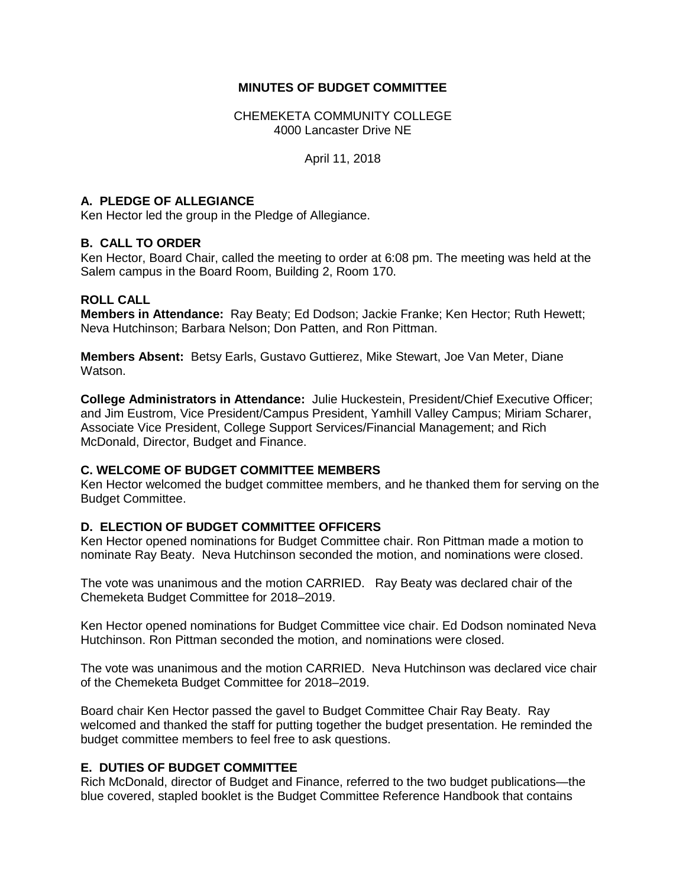## **MINUTES OF BUDGET COMMITTEE**

CHEMEKETA COMMUNITY COLLEGE 4000 Lancaster Drive NE

April 11, 2018

## **A. PLEDGE OF ALLEGIANCE**

Ken Hector led the group in the Pledge of Allegiance.

#### **B. CALL TO ORDER**

Ken Hector, Board Chair, called the meeting to order at 6:08 pm. The meeting was held at the Salem campus in the Board Room, Building 2, Room 170.

## **ROLL CALL**

**Members in Attendance:** Ray Beaty; Ed Dodson; Jackie Franke; Ken Hector; Ruth Hewett; Neva Hutchinson; Barbara Nelson; Don Patten, and Ron Pittman.

**Members Absent:** Betsy Earls, Gustavo Guttierez, Mike Stewart, Joe Van Meter, Diane Watson.

**College Administrators in Attendance:** Julie Huckestein, President/Chief Executive Officer; and Jim Eustrom, Vice President/Campus President, Yamhill Valley Campus; Miriam Scharer, Associate Vice President, College Support Services/Financial Management; and Rich McDonald, Director, Budget and Finance.

#### **C. WELCOME OF BUDGET COMMITTEE MEMBERS**

Ken Hector welcomed the budget committee members, and he thanked them for serving on the Budget Committee.

## **D. ELECTION OF BUDGET COMMITTEE OFFICERS**

Ken Hector opened nominations for Budget Committee chair. Ron Pittman made a motion to nominate Ray Beaty. Neva Hutchinson seconded the motion, and nominations were closed.

The vote was unanimous and the motion CARRIED. Ray Beaty was declared chair of the Chemeketa Budget Committee for 2018–2019.

Ken Hector opened nominations for Budget Committee vice chair. Ed Dodson nominated Neva Hutchinson. Ron Pittman seconded the motion, and nominations were closed.

The vote was unanimous and the motion CARRIED. Neva Hutchinson was declared vice chair of the Chemeketa Budget Committee for 2018–2019.

Board chair Ken Hector passed the gavel to Budget Committee Chair Ray Beaty. Ray welcomed and thanked the staff for putting together the budget presentation. He reminded the budget committee members to feel free to ask questions.

## **E. DUTIES OF BUDGET COMMITTEE**

Rich McDonald, director of Budget and Finance, referred to the two budget publications—the blue covered, stapled booklet is the Budget Committee Reference Handbook that contains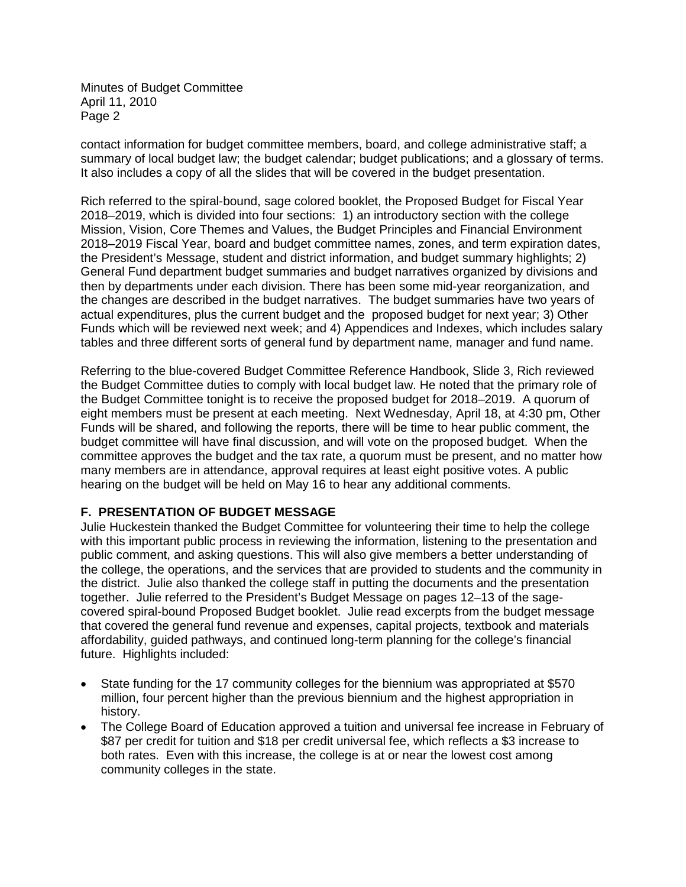contact information for budget committee members, board, and college administrative staff; a summary of local budget law; the budget calendar; budget publications; and a glossary of terms. It also includes a copy of all the slides that will be covered in the budget presentation.

Rich referred to the spiral-bound, sage colored booklet, the Proposed Budget for Fiscal Year 2018–2019, which is divided into four sections: 1) an introductory section with the college Mission, Vision, Core Themes and Values, the Budget Principles and Financial Environment 2018–2019 Fiscal Year, board and budget committee names, zones, and term expiration dates, the President's Message, student and district information, and budget summary highlights; 2) General Fund department budget summaries and budget narratives organized by divisions and then by departments under each division. There has been some mid-year reorganization, and the changes are described in the budget narratives. The budget summaries have two years of actual expenditures, plus the current budget and the proposed budget for next year; 3) Other Funds which will be reviewed next week; and 4) Appendices and Indexes, which includes salary tables and three different sorts of general fund by department name, manager and fund name.

Referring to the blue-covered Budget Committee Reference Handbook, Slide 3, Rich reviewed the Budget Committee duties to comply with local budget law. He noted that the primary role of the Budget Committee tonight is to receive the proposed budget for 2018–2019. A quorum of eight members must be present at each meeting. Next Wednesday, April 18, at 4:30 pm, Other Funds will be shared, and following the reports, there will be time to hear public comment, the budget committee will have final discussion, and will vote on the proposed budget. When the committee approves the budget and the tax rate, a quorum must be present, and no matter how many members are in attendance, approval requires at least eight positive votes. A public hearing on the budget will be held on May 16 to hear any additional comments.

## **F. PRESENTATION OF BUDGET MESSAGE**

Julie Huckestein thanked the Budget Committee for volunteering their time to help the college with this important public process in reviewing the information, listening to the presentation and public comment, and asking questions. This will also give members a better understanding of the college, the operations, and the services that are provided to students and the community in the district. Julie also thanked the college staff in putting the documents and the presentation together. Julie referred to the President's Budget Message on pages 12–13 of the sagecovered spiral-bound Proposed Budget booklet. Julie read excerpts from the budget message that covered the general fund revenue and expenses, capital projects, textbook and materials affordability, guided pathways, and continued long-term planning for the college's financial future. Highlights included:

- State funding for the 17 community colleges for the biennium was appropriated at \$570 million, four percent higher than the previous biennium and the highest appropriation in history.
- The College Board of Education approved a tuition and universal fee increase in February of \$87 per credit for tuition and \$18 per credit universal fee, which reflects a \$3 increase to both rates. Even with this increase, the college is at or near the lowest cost among community colleges in the state.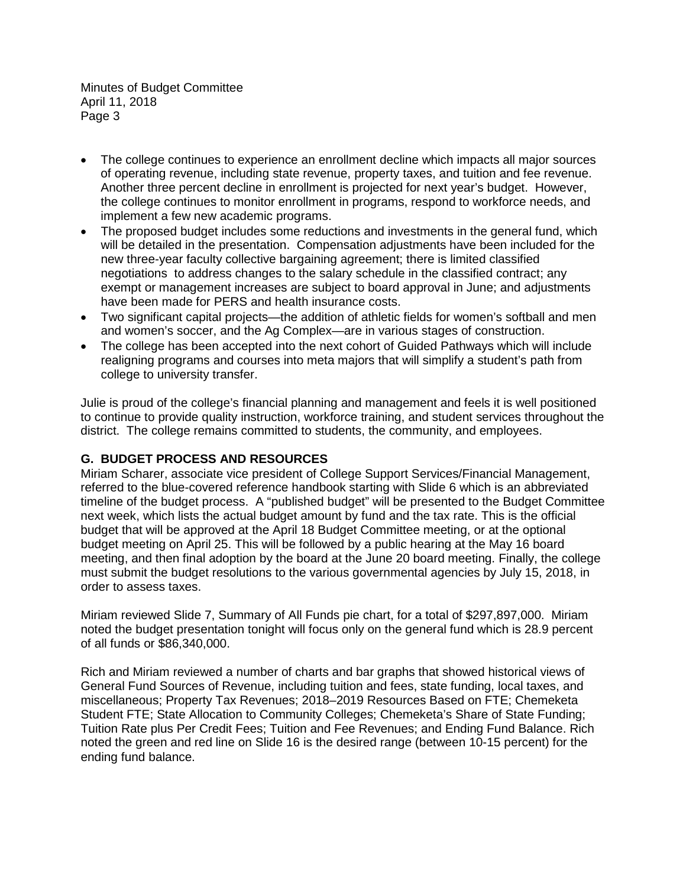- The college continues to experience an enrollment decline which impacts all major sources of operating revenue, including state revenue, property taxes, and tuition and fee revenue. Another three percent decline in enrollment is projected for next year's budget. However, the college continues to monitor enrollment in programs, respond to workforce needs, and implement a few new academic programs.
- The proposed budget includes some reductions and investments in the general fund, which will be detailed in the presentation. Compensation adjustments have been included for the new three-year faculty collective bargaining agreement; there is limited classified negotiations to address changes to the salary schedule in the classified contract; any exempt or management increases are subject to board approval in June; and adjustments have been made for PERS and health insurance costs.
- Two significant capital projects—the addition of athletic fields for women's softball and men and women's soccer, and the Ag Complex—are in various stages of construction.
- The college has been accepted into the next cohort of Guided Pathways which will include realigning programs and courses into meta majors that will simplify a student's path from college to university transfer.

Julie is proud of the college's financial planning and management and feels it is well positioned to continue to provide quality instruction, workforce training, and student services throughout the district. The college remains committed to students, the community, and employees.

# **G. BUDGET PROCESS AND RESOURCES**

Miriam Scharer, associate vice president of College Support Services/Financial Management, referred to the blue-covered reference handbook starting with Slide 6 which is an abbreviated timeline of the budget process. A "published budget" will be presented to the Budget Committee next week, which lists the actual budget amount by fund and the tax rate. This is the official budget that will be approved at the April 18 Budget Committee meeting, or at the optional budget meeting on April 25. This will be followed by a public hearing at the May 16 board meeting, and then final adoption by the board at the June 20 board meeting. Finally, the college must submit the budget resolutions to the various governmental agencies by July 15, 2018, in order to assess taxes.

Miriam reviewed Slide 7, Summary of All Funds pie chart, for a total of \$297,897,000. Miriam noted the budget presentation tonight will focus only on the general fund which is 28.9 percent of all funds or \$86,340,000.

Rich and Miriam reviewed a number of charts and bar graphs that showed historical views of General Fund Sources of Revenue, including tuition and fees, state funding, local taxes, and miscellaneous; Property Tax Revenues; 2018–2019 Resources Based on FTE; Chemeketa Student FTE; State Allocation to Community Colleges; Chemeketa's Share of State Funding; Tuition Rate plus Per Credit Fees; Tuition and Fee Revenues; and Ending Fund Balance. Rich noted the green and red line on Slide 16 is the desired range (between 10-15 percent) for the ending fund balance.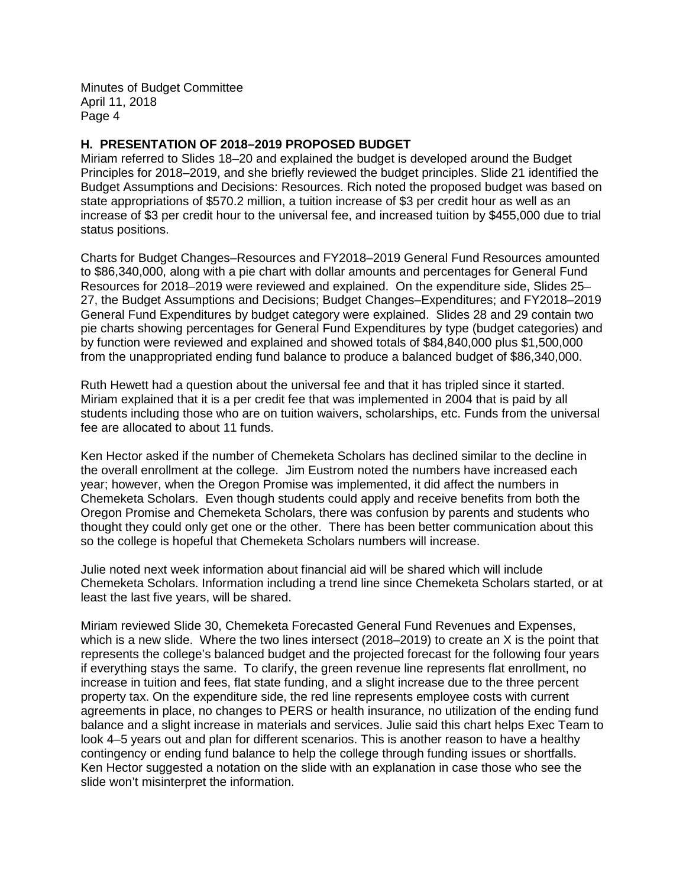#### **H. PRESENTATION OF 2018–2019 PROPOSED BUDGET**

Miriam referred to Slides 18–20 and explained the budget is developed around the Budget Principles for 2018–2019, and she briefly reviewed the budget principles. Slide 21 identified the Budget Assumptions and Decisions: Resources. Rich noted the proposed budget was based on state appropriations of \$570.2 million, a tuition increase of \$3 per credit hour as well as an increase of \$3 per credit hour to the universal fee, and increased tuition by \$455,000 due to trial status positions.

Charts for Budget Changes–Resources and FY2018–2019 General Fund Resources amounted to \$86,340,000, along with a pie chart with dollar amounts and percentages for General Fund Resources for 2018–2019 were reviewed and explained. On the expenditure side, Slides 25– 27, the Budget Assumptions and Decisions; Budget Changes–Expenditures; and FY2018–2019 General Fund Expenditures by budget category were explained. Slides 28 and 29 contain two pie charts showing percentages for General Fund Expenditures by type (budget categories) and by function were reviewed and explained and showed totals of \$84,840,000 plus \$1,500,000 from the unappropriated ending fund balance to produce a balanced budget of \$86,340,000.

Ruth Hewett had a question about the universal fee and that it has tripled since it started. Miriam explained that it is a per credit fee that was implemented in 2004 that is paid by all students including those who are on tuition waivers, scholarships, etc. Funds from the universal fee are allocated to about 11 funds.

Ken Hector asked if the number of Chemeketa Scholars has declined similar to the decline in the overall enrollment at the college. Jim Eustrom noted the numbers have increased each year; however, when the Oregon Promise was implemented, it did affect the numbers in Chemeketa Scholars. Even though students could apply and receive benefits from both the Oregon Promise and Chemeketa Scholars, there was confusion by parents and students who thought they could only get one or the other. There has been better communication about this so the college is hopeful that Chemeketa Scholars numbers will increase.

Julie noted next week information about financial aid will be shared which will include Chemeketa Scholars. Information including a trend line since Chemeketa Scholars started, or at least the last five years, will be shared.

Miriam reviewed Slide 30, Chemeketa Forecasted General Fund Revenues and Expenses, which is a new slide. Where the two lines intersect (2018–2019) to create an X is the point that represents the college's balanced budget and the projected forecast for the following four years if everything stays the same. To clarify, the green revenue line represents flat enrollment, no increase in tuition and fees, flat state funding, and a slight increase due to the three percent property tax. On the expenditure side, the red line represents employee costs with current agreements in place, no changes to PERS or health insurance, no utilization of the ending fund balance and a slight increase in materials and services. Julie said this chart helps Exec Team to look 4–5 years out and plan for different scenarios. This is another reason to have a healthy contingency or ending fund balance to help the college through funding issues or shortfalls. Ken Hector suggested a notation on the slide with an explanation in case those who see the slide won't misinterpret the information.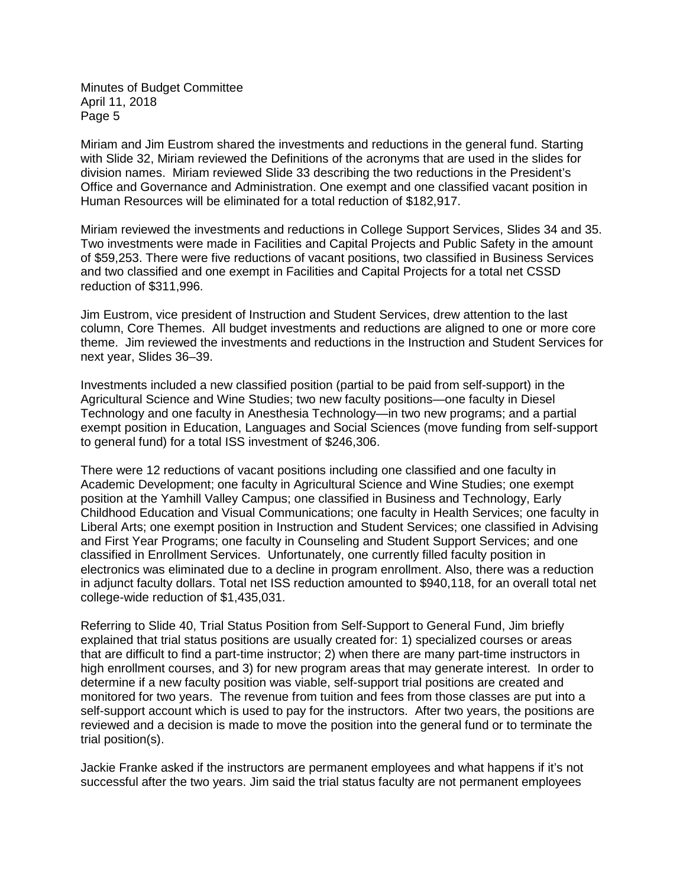Miriam and Jim Eustrom shared the investments and reductions in the general fund. Starting with Slide 32, Miriam reviewed the Definitions of the acronyms that are used in the slides for division names. Miriam reviewed Slide 33 describing the two reductions in the President's Office and Governance and Administration. One exempt and one classified vacant position in Human Resources will be eliminated for a total reduction of \$182,917.

Miriam reviewed the investments and reductions in College Support Services, Slides 34 and 35. Two investments were made in Facilities and Capital Projects and Public Safety in the amount of \$59,253. There were five reductions of vacant positions, two classified in Business Services and two classified and one exempt in Facilities and Capital Projects for a total net CSSD reduction of \$311,996.

Jim Eustrom, vice president of Instruction and Student Services, drew attention to the last column, Core Themes. All budget investments and reductions are aligned to one or more core theme. Jim reviewed the investments and reductions in the Instruction and Student Services for next year, Slides 36–39.

Investments included a new classified position (partial to be paid from self-support) in the Agricultural Science and Wine Studies; two new faculty positions—one faculty in Diesel Technology and one faculty in Anesthesia Technology—in two new programs; and a partial exempt position in Education, Languages and Social Sciences (move funding from self-support to general fund) for a total ISS investment of \$246,306.

There were 12 reductions of vacant positions including one classified and one faculty in Academic Development; one faculty in Agricultural Science and Wine Studies; one exempt position at the Yamhill Valley Campus; one classified in Business and Technology, Early Childhood Education and Visual Communications; one faculty in Health Services; one faculty in Liberal Arts; one exempt position in Instruction and Student Services; one classified in Advising and First Year Programs; one faculty in Counseling and Student Support Services; and one classified in Enrollment Services. Unfortunately, one currently filled faculty position in electronics was eliminated due to a decline in program enrollment. Also, there was a reduction in adjunct faculty dollars. Total net ISS reduction amounted to \$940,118, for an overall total net college-wide reduction of \$1,435,031.

Referring to Slide 40, Trial Status Position from Self-Support to General Fund, Jim briefly explained that trial status positions are usually created for: 1) specialized courses or areas that are difficult to find a part-time instructor; 2) when there are many part-time instructors in high enrollment courses, and 3) for new program areas that may generate interest. In order to determine if a new faculty position was viable, self-support trial positions are created and monitored for two years. The revenue from tuition and fees from those classes are put into a self-support account which is used to pay for the instructors. After two years, the positions are reviewed and a decision is made to move the position into the general fund or to terminate the trial position(s).

Jackie Franke asked if the instructors are permanent employees and what happens if it's not successful after the two years. Jim said the trial status faculty are not permanent employees